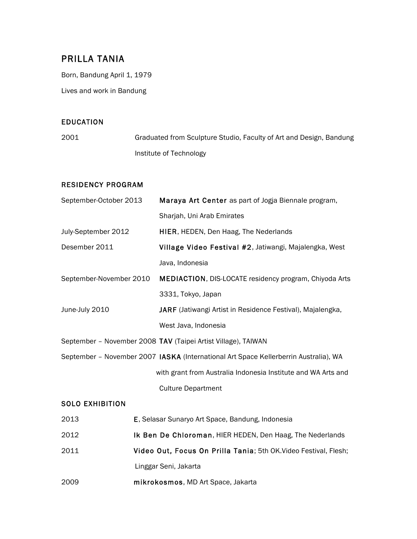# PRILLA TANIA

Born, Bandung April 1, 1979

Lives and work in Bandung

# EDUCATION

2001 Graduated from Sculpture Studio, Faculty of Art and Design, Bandung Institute of Technology

# RESIDENCY PROGRAM

| September-October 2013                                                               |  | Maraya Art Center as part of Jogja Biennale program,              |
|--------------------------------------------------------------------------------------|--|-------------------------------------------------------------------|
|                                                                                      |  | Sharjah, Uni Arab Emirates                                        |
| July-September 2012                                                                  |  | HIER, HEDEN, Den Haag, The Nederlands                             |
| Desember 2011                                                                        |  | Village Video Festival #2, Jatiwangi, Majalengka, West            |
|                                                                                      |  | Java, Indonesia                                                   |
| September-November 2010                                                              |  | MEDIACTION, DIS-LOCATE residency program, Chiyoda Arts            |
|                                                                                      |  | 3331, Tokyo, Japan                                                |
| June-July 2010                                                                       |  | <b>JARF</b> (Jatiwangi Artist in Residence Festival), Majalengka, |
|                                                                                      |  | West Java, Indonesia                                              |
|                                                                                      |  | September - November 2008 TAV (Taipei Artist Village), TAIWAN     |
| September - November 2007 IASKA (International Art Space Kellerberrin Australia), WA |  |                                                                   |
|                                                                                      |  | with grant from Australia Indonesia Institute and WA Arts and     |
|                                                                                      |  | <b>Culture Department</b>                                         |
| <b>SOLO EXHIBITION</b>                                                               |  |                                                                   |
| 2013                                                                                 |  | E, Selasar Sunaryo Art Space, Bandung, Indonesia                  |
| 2012                                                                                 |  | Ik Ben De Chloroman, HIER HEDEN, Den Haag, The Nederlands         |
|                                                                                      |  |                                                                   |

- 2011 Video Out, Focus On Prilla Tania; 5th OK.Video Festival, Flesh; Linggar Seni, Jakarta
- 2009 mikrokosmos, MD Art Space, Jakarta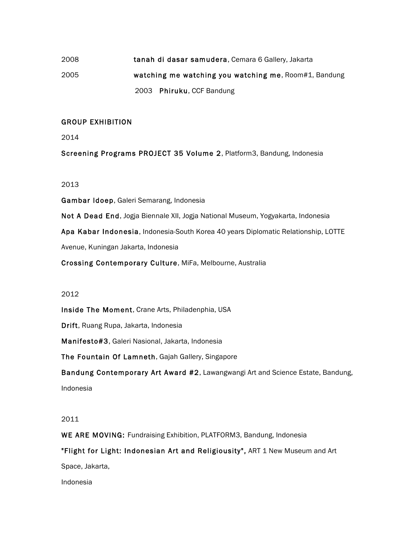# 2008 tanah di dasar samudera, Cemara 6 Gallery, Jakarta 2005 watching me watching you watching me, Room#1, Bandung 2003 Phiruku, CCF Bandung

# GROUP EXHIBITION

2014

Screening Programs PROJECT 35 Volume 2, Platform3, Bandung, Indonesia

# 2013

Gambar Idoep, Galeri Semarang, Indonesia

Not A Dead End, Jogja Biennale XII, Jogja National Museum, Yogyakarta, Indonesia

Apa Kabar Indonesia, Indonesia-South Korea 40 years Diplomatic Relationship, LOTTE

Avenue, Kuningan Jakarta, Indonesia

Crossing Contemporary Culture, MiFa, Melbourne, Australia

#### 2012

Inside The Moment, Crane Arts, Philadenphia, USA

Drift, Ruang Rupa, Jakarta, Indonesia

Manifesto#3, Galeri Nasional, Jakarta, Indonesia

The Fountain Of Lamneth, Gajah Gallery, Singapore

Bandung Contemporary Art Award #2, Lawangwangi Art and Science Estate, Bandung, Indonesia

#### 2011

WE ARE MOVING: Fundraising Exhibition, PLATFORM3, Bandung, Indonesia

"Flight for Light: Indonesian Art and Religiousity", ART 1 New Museum and Art

Space, Jakarta,

Indonesia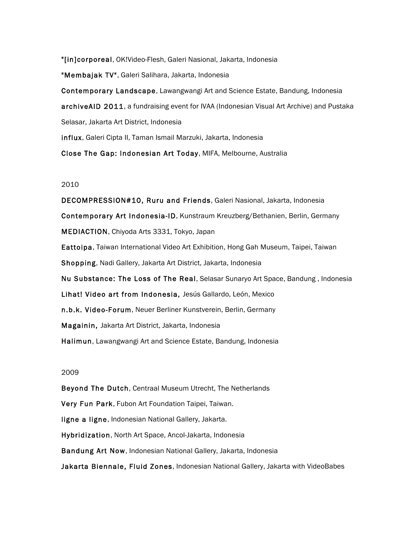"[in]corporeal, OK!Video-Flesh, Galeri Nasional, Jakarta, Indonesia

"Membajak TV", Galeri Salihara, Jakarta, Indonesia

Contemporary Landscape, Lawangwangi Art and Science Estate, Bandung, Indonesia archiveAID 2011, a fundraising event for IVAA (Indonesian Visual Art Archive) and Pustaka Selasar, Jakarta Art District, Indonesia

influx, Galeri Cipta II, Taman Ismail Marzuki, Jakarta, Indonesia

Close The Gap: Indonesian Art Today, MIFA, Melbourne, Australia

#### 2010

DECOMPRESSION#10, Ruru and Friends, Galeri Nasional, Jakarta, Indonesia Contemporary Art Indonesia-ID, Kunstraum Kreuzberg/Bethanien, Berlin, Germany MEDIACTION, Chiyoda Arts 3331, Tokyo, Japan Eattoipa, Taiwan International Video Art Exhibition, Hong Gah Museum, Taipei, Taiwan Shopping, Nadi Gallery, Jakarta Art District, Jakarta, Indonesia Nu Substance: The Loss of The Real, Selasar Sunaryo Art Space, Bandung , Indonesia Lihat! Video art from Indonesia, Jesús Gallardo, León, Mexico n.b.k. Video-Forum, Neuer Berliner Kunstverein, Berlin, Germany Magainin, Jakarta Art District, Jakarta, Indonesia Halimun, Lawangwangi Art and Science Estate, Bandung, Indonesia

#### 2009

Beyond The Dutch, Centraal Museum Utrecht, The Netherlands Very Fun Park, Fubon Art Foundation Taipei, Taiwan. ligne a ligne, Indonesian National Gallery, Jakarta. Hybridization, North Art Space, Ancol-Jakarta, Indonesia Bandung Art Now, Indonesian National Gallery, Jakarta, Indonesia Jakarta Biennale, Fluid Zones, Indonesian National Gallery, Jakarta with VideoBabes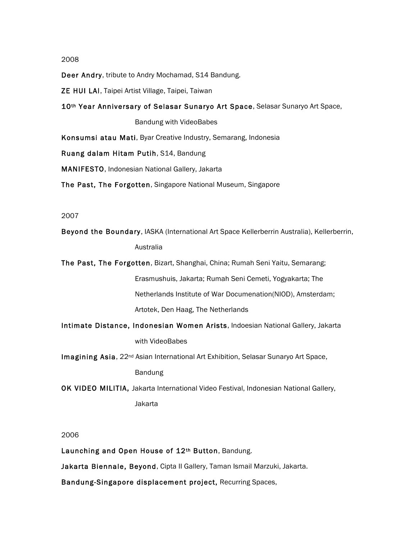#### 2008

Deer Andry, tribute to Andry Mochamad, S14 Bandung.

ZE HUI LAI, Taipei Artist Village, Taipei, Taiwan

10th Year Anniversary of Selasar Sunaryo Art Space, Selasar Sunaryo Art Space,

Bandung with VideoBabes

Konsumsi atau Mati, Byar Creative Industry, Semarang, Indonesia

Ruang dalam Hitam Putih, S14, Bandung

MANIFESTO, Indonesian National Gallery, Jakarta

The Past, The Forgotten, Singapore National Museum, Singapore

#### 2007

Beyond the Boundary, IASKA (International Art Space Kellerberrin Australia), Kellerberrin, Australia

The Past, The Forgotten, Bizart, Shanghai, China; Rumah Seni Yaitu, Semarang; Erasmushuis, Jakarta; Rumah Seni Cemeti, Yogyakarta; The Netherlands Institute of War Documenation(NIOD), Amsterdam; Artotek, Den Haag, The Netherlands

Intimate Distance, Indonesian Women Arists, Indoesian National Gallery, Jakarta with VideoBabes

Imagining Asia, 22<sup>nd</sup> Asian International Art Exhibition, Selasar Sunaryo Art Space,

Bandung

OK VIDEO MILITIA, Jakarta International Video Festival, Indonesian National Gallery, Jakarta

#### 2006

Launching and Open House of 12<sup>th</sup> Button, Bandung.

Jakarta Biennale, Beyond, Cipta II Gallery, Taman Ismail Marzuki, Jakarta.

Bandung-Singapore displacement project, Recurring Spaces,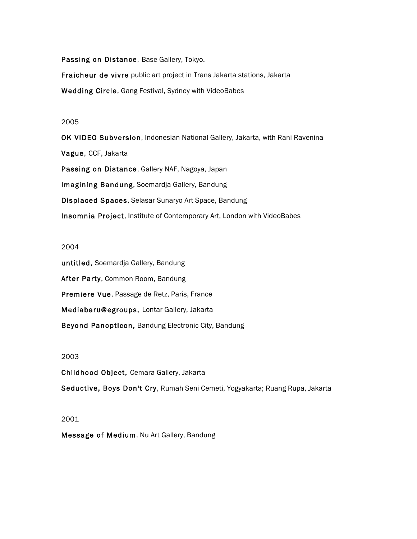Passing on Distance, Base Gallery, Tokyo.

Fraicheur de vivre public art project in Trans Jakarta stations, Jakarta

Wedding Circle, Gang Festival, Sydney with VideoBabes

#### 2005

OK VIDEO Subversion, Indonesian National Gallery, Jakarta, with Rani Ravenina Vague, CCF, Jakarta Passing on Distance, Gallery NAF, Nagoya, Japan Imagining Bandung, Soemardja Gallery, Bandung Displaced Spaces, Selasar Sunaryo Art Space, Bandung Insomnia Project, Institute of Contemporary Art, London with VideoBabes

# 2004

untitled, Soemardja Gallery, Bandung After Party, Common Room, Bandung Premiere Vue, Passage de Retz, Paris, France Mediabaru@egroups, Lontar Gallery, Jakarta Beyond Panopticon, Bandung Electronic City, Bandung

# 2003

Childhood Object, Cemara Gallery, Jakarta Seductive, Boys Don't Cry, Rumah Seni Cemeti, Yogyakarta; Ruang Rupa, Jakarta

#### 2001

Message of Medium, Nu Art Gallery, Bandung